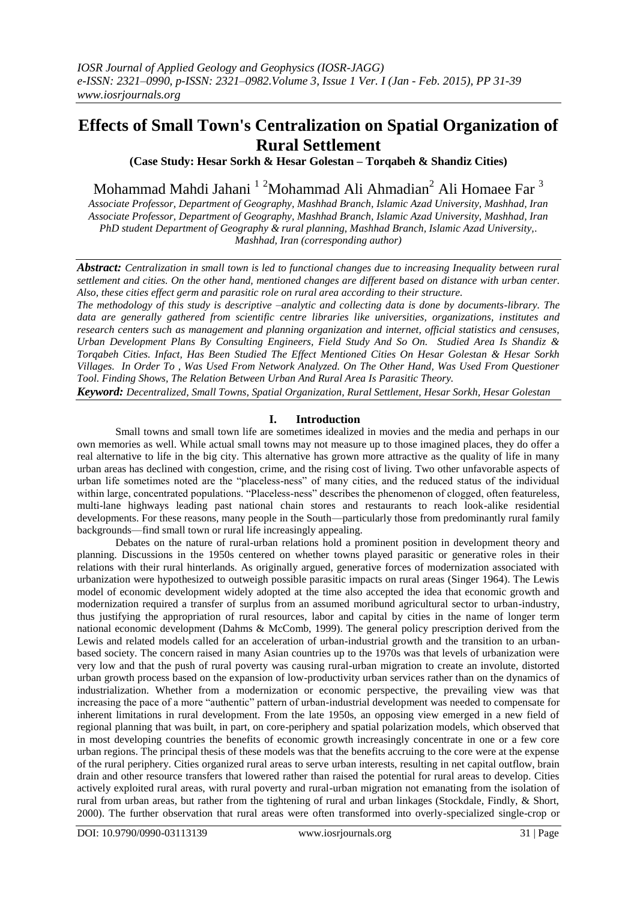# **Effects of Small Town's Centralization on Spatial Organization of Rural Settlement**

**(Case Study: Hesar Sorkh & Hesar Golestan – Torqabeh & Shandiz Cities)**

Mohammad Mahdi Jahani <sup>1 2</sup>Mohammad Ali Ahmadian<sup>2</sup> Ali Homaee Far<sup>3</sup>

*Associate Professor, Department of Geography, Mashhad Branch, Islamic Azad University, Mashhad, Iran Associate Professor, Department of Geography, Mashhad Branch, Islamic Azad University, Mashhad, Iran PhD student Department of Geography & rural planning, Mashhad Branch, Islamic Azad University,. Mashhad, Iran (corresponding author)*

*Abstract: Centralization in small town is led to functional changes due to increasing Inequality between rural settlement and cities. On the other hand, mentioned changes are different based on distance with urban center. Also, these cities effect germ and parasitic role on rural area according to their structure.* 

*The methodology of this study is descriptive –analytic and collecting data is done by documents-library. The data are generally gathered from scientific centre libraries like universities, organizations, institutes and research centers such as management and planning organization and internet, official statistics and censuses, Urban Development Plans By Consulting Engineers, Field Study And So On. Studied Area Is Shandiz & Torqabeh Cities. Infact, Has Been Studied The Effect Mentioned Cities On Hesar Golestan & Hesar Sorkh Villages. In Order To , Was Used From Network Analyzed. On The Other Hand, Was Used From Questioner Tool. Finding Shows, The Relation Between Urban And Rural Area Is Parasitic Theory.* 

*Keyword: Decentralized, Small Towns, Spatial Organization, Rural Settlement, Hesar Sorkh, Hesar Golestan* 

# **I. Introduction**

Small towns and small town life are sometimes idealized in movies and the media and perhaps in our own memories as well. While actual small towns may not measure up to those imagined places, they do offer a real alternative to life in the big city. This alternative has grown more attractive as the quality of life in many urban areas has declined with congestion, crime, and the rising cost of living. Two other unfavorable aspects of urban life sometimes noted are the "placeless-ness" of many cities, and the reduced status of the individual within large, concentrated populations. "Placeless-ness" describes the phenomenon of clogged, often featureless, multi-lane highways leading past national chain stores and restaurants to reach look-alike residential developments. For these reasons, many people in the South—particularly those from predominantly rural family backgrounds—find small town or rural life increasingly appealing.

Debates on the nature of rural-urban relations hold a prominent position in development theory and planning. Discussions in the 1950s centered on whether towns played parasitic or generative roles in their relations with their rural hinterlands. As originally argued, generative forces of modernization associated with urbanization were hypothesized to outweigh possible parasitic impacts on rural areas (Singer 1964). The Lewis model of economic development widely adopted at the time also accepted the idea that economic growth and modernization required a transfer of surplus from an assumed moribund agricultural sector to urban-industry, thus justifying the appropriation of rural resources, labor and capital by cities in the name of longer term national economic development (Dahms & McComb, 1999). The general policy prescription derived from the Lewis and related models called for an acceleration of urban-industrial growth and the transition to an urbanbased society. The concern raised in many Asian countries up to the 1970s was that levels of urbanization were very low and that the push of rural poverty was causing rural-urban migration to create an involute, distorted urban growth process based on the expansion of low-productivity urban services rather than on the dynamics of industrialization. Whether from a modernization or economic perspective, the prevailing view was that increasing the pace of a more "authentic" pattern of urban-industrial development was needed to compensate for inherent limitations in rural development. From the late 1950s, an opposing view emerged in a new field of regional planning that was built, in part, on core-periphery and spatial polarization models, which observed that in most developing countries the benefits of economic growth increasingly concentrate in one or a few core urban regions. The principal thesis of these models was that the benefits accruing to the core were at the expense of the rural periphery. Cities organized rural areas to serve urban interests, resulting in net capital outflow, brain drain and other resource transfers that lowered rather than raised the potential for rural areas to develop. Cities actively exploited rural areas, with rural poverty and rural-urban migration not emanating from the isolation of rural from urban areas, but rather from the tightening of rural and urban linkages (Stockdale, Findly, & Short, 2000). The further observation that rural areas were often transformed into overly-specialized single-crop or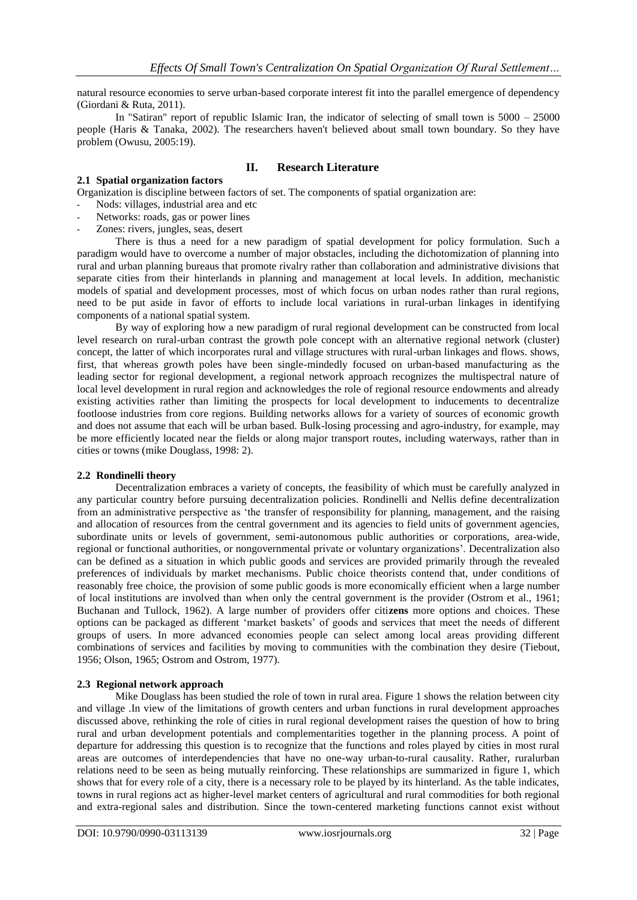natural resource economies to serve urban-based corporate interest fit into the parallel emergence of dependency (Giordani & Ruta, 2011).

In "Satiran" report of republic Islamic Iran, the indicator of selecting of small town is 5000 – 25000 people (Haris & Tanaka, 2002). The researchers haven't believed about small town boundary. So they have problem (Owusu, 2005:19).

# **2.1 Spatial organization factors**

# **II. Research Literature**

Organization is discipline between factors of set. The components of spatial organization are:

- Nods: villages, industrial area and etc
- Networks: roads, gas or power lines
- Zones: rivers, jungles, seas, desert

There is thus a need for a new paradigm of spatial development for policy formulation. Such a paradigm would have to overcome a number of major obstacles, including the dichotomization of planning into rural and urban planning bureaus that promote rivalry rather than collaboration and administrative divisions that separate cities from their hinterlands in planning and management at local levels. In addition, mechanistic models of spatial and development processes, most of which focus on urban nodes rather than rural regions, need to be put aside in favor of efforts to include local variations in rural-urban linkages in identifying components of a national spatial system.

By way of exploring how a new paradigm of rural regional development can be constructed from local level research on rural-urban contrast the growth pole concept with an alternative regional network (cluster) concept, the latter of which incorporates rural and village structures with rural-urban linkages and flows. shows, first, that whereas growth poles have been single-mindedly focused on urban-based manufacturing as the leading sector for regional development, a regional network approach recognizes the multispectral nature of local level development in rural region and acknowledges the role of regional resource endowments and already existing activities rather than limiting the prospects for local development to inducements to decentralize footloose industries from core regions. Building networks allows for a variety of sources of economic growth and does not assume that each will be urban based. Bulk-losing processing and agro-industry, for example, may be more efficiently located near the fields or along major transport routes, including waterways, rather than in cities or towns (mike Douglass, 1998: 2).

#### **2.2 Rondinelli theory**

Decentralization embraces a variety of concepts, the feasibility of which must be carefully analyzed in any particular country before pursuing decentralization policies. Rondinelli and Nellis define decentralization from an administrative perspective as 'the transfer of responsibility for planning, management, and the raising and allocation of resources from the central government and its agencies to field units of government agencies, subordinate units or levels of government, semi-autonomous public authorities or corporations, area-wide, regional or functional authorities, or nongovernmental private or voluntary organizations'. Decentralization also can be defined as a situation in which public goods and services are provided primarily through the revealed preferences of individuals by market mechanisms. Public choice theorists contend that, under conditions of reasonably free choice, the provision of some public goods is more economically efficient when a large number of local institutions are involved than when only the central government is the provider (Ostrom et al., 1961; Buchanan and Tullock, 1962). A large number of providers offer citi**zens** more options and choices. These options can be packaged as different ‗market baskets' of goods and services that meet the needs of different groups of users. In more advanced economies people can select among local areas providing different combinations of services and facilities by moving to communities with the combination they desire (Tiebout, 1956; Olson, 1965; Ostrom and Ostrom, 1977).

#### **2.3 Regional network approach**

Mike Douglass has been studied the role of town in rural area. Figure 1 shows the relation between city and village .In view of the limitations of growth centers and urban functions in rural development approaches discussed above, rethinking the role of cities in rural regional development raises the question of how to bring rural and urban development potentials and complementarities together in the planning process. A point of departure for addressing this question is to recognize that the functions and roles played by cities in most rural areas are outcomes of interdependencies that have no one-way urban-to-rural causality. Rather, ruralurban relations need to be seen as being mutually reinforcing. These relationships are summarized in figure 1, which shows that for every role of a city, there is a necessary role to be played by its hinterland. As the table indicates, towns in rural regions act as higher-level market centers of agricultural and rural commodities for both regional and extra-regional sales and distribution. Since the town-centered marketing functions cannot exist without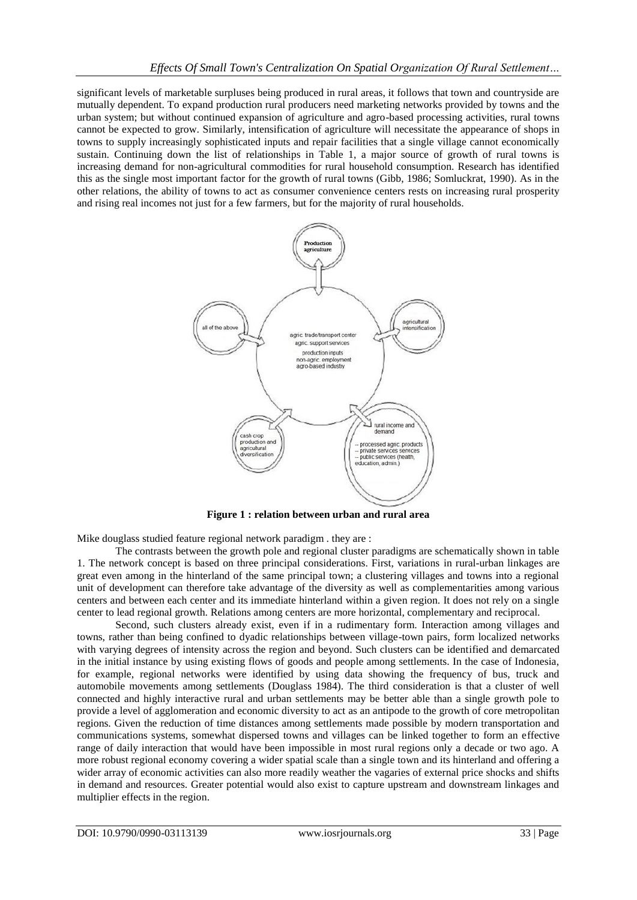significant levels of marketable surpluses being produced in rural areas, it follows that town and countryside are mutually dependent. To expand production rural producers need marketing networks provided by towns and the urban system; but without continued expansion of agriculture and agro-based processing activities, rural towns cannot be expected to grow. Similarly, intensification of agriculture will necessitate the appearance of shops in towns to supply increasingly sophisticated inputs and repair facilities that a single village cannot economically sustain. Continuing down the list of relationships in Table 1, a major source of growth of rural towns is increasing demand for non-agricultural commodities for rural household consumption. Research has identified this as the single most important factor for the growth of rural towns (Gibb, 1986; Somluckrat, 1990). As in the other relations, the ability of towns to act as consumer convenience centers rests on increasing rural prosperity and rising real incomes not just for a few farmers, but for the majority of rural households.



**Figure 1 : relation between urban and rural area**

Mike douglass studied feature regional network paradigm . they are :

The contrasts between the growth pole and regional cluster paradigms are schematically shown in table 1. The network concept is based on three principal considerations. First, variations in rural-urban linkages are great even among in the hinterland of the same principal town; a clustering villages and towns into a regional unit of development can therefore take advantage of the diversity as well as complementarities among various centers and between each center and its immediate hinterland within a given region. It does not rely on a single center to lead regional growth. Relations among centers are more horizontal, complementary and reciprocal.

Second, such clusters already exist, even if in a rudimentary form. Interaction among villages and towns, rather than being confined to dyadic relationships between village-town pairs, form localized networks with varying degrees of intensity across the region and beyond. Such clusters can be identified and demarcated in the initial instance by using existing flows of goods and people among settlements. In the case of Indonesia, for example, regional networks were identified by using data showing the frequency of bus, truck and automobile movements among settlements (Douglass 1984). The third consideration is that a cluster of well connected and highly interactive rural and urban settlements may be better able than a single growth pole to provide a level of agglomeration and economic diversity to act as an antipode to the growth of core metropolitan regions. Given the reduction of time distances among settlements made possible by modern transportation and communications systems, somewhat dispersed towns and villages can be linked together to form an effective range of daily interaction that would have been impossible in most rural regions only a decade or two ago. A more robust regional economy covering a wider spatial scale than a single town and its hinterland and offering a wider array of economic activities can also more readily weather the vagaries of external price shocks and shifts in demand and resources. Greater potential would also exist to capture upstream and downstream linkages and multiplier effects in the region.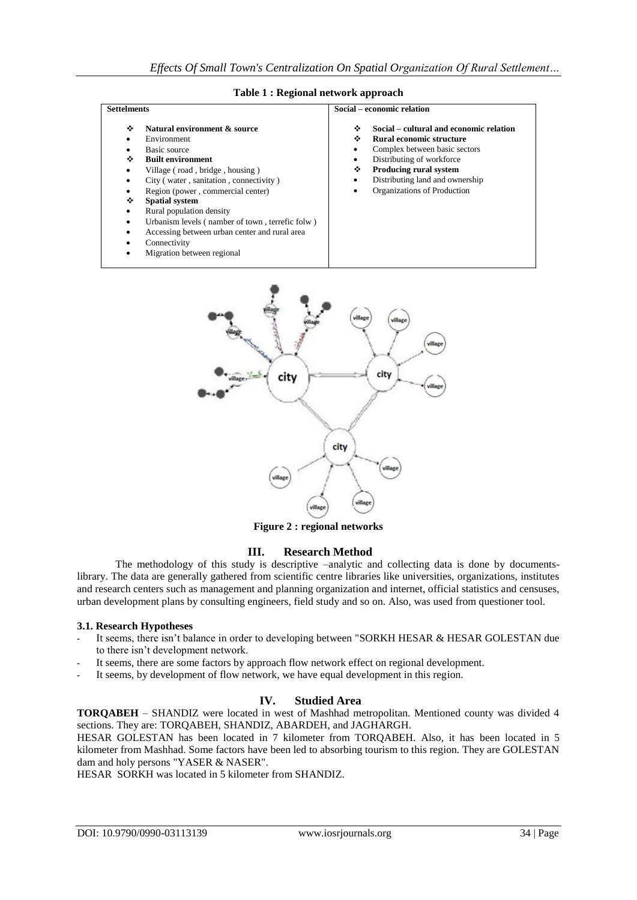| <b>Settelments</b>                                                       |                                                                                                                                                                                                                                                                                                                                                                                                                  |             | Social – economic relation                                                                                                                                                                                                           |
|--------------------------------------------------------------------------|------------------------------------------------------------------------------------------------------------------------------------------------------------------------------------------------------------------------------------------------------------------------------------------------------------------------------------------------------------------------------------------------------------------|-------------|--------------------------------------------------------------------------------------------------------------------------------------------------------------------------------------------------------------------------------------|
| ❖<br>٠<br>$\bullet$<br>٠<br>٠<br>٠<br>$\bullet$<br>٠<br>٠<br>٠<br>٠<br>٠ | Natural environment & source<br>Environment<br>Basic source<br><b>Built environment</b><br>Village (road, bridge, housing)<br>City (water, sanitation, connectivity)<br>Region (power, commercial center)<br><b>Spatial system</b><br>Rural population density<br>Urbanism levels (namber of town, terrefic folw)<br>Accessing between urban center and rural area<br>Connectivity<br>Migration between regional | ❖<br>❖<br>❖ | Social – cultural and economic relation<br>Rural economic structure<br>Complex between basic sectors<br>Distributing of workforce<br><b>Producing rural system</b><br>Distributing land and ownership<br>Organizations of Production |

#### **Table 1 : Regional network approach**



**Figure 2 : regional networks**

# **III. Research Method**

The methodology of this study is descriptive –analytic and collecting data is done by documentslibrary. The data are generally gathered from scientific centre libraries like universities, organizations, institutes and research centers such as management and planning organization and internet, official statistics and censuses, urban development plans by consulting engineers, field study and so on. Also, was used from questioner tool.

# **3.1. Research Hypotheses**

- It seems, there isn't balance in order to developing between "SORKH HESAR & HESAR GOLESTAN due to there isn't development network.
- It seems, there are some factors by approach flow network effect on regional development.
- It seems, by development of flow network, we have equal development in this region.

# **IV. Studied Area**

**TORQABEH** – SHANDIZ were located in west of Mashhad metropolitan. Mentioned county was divided 4 sections. They are: TORQABEH, SHANDIZ, ABARDEH, and JAGHARGH.

HESAR GOLESTAN has been located in 7 kilometer from TORQABEH. Also, it has been located in 5 kilometer from Mashhad. Some factors have been led to absorbing tourism to this region. They are GOLESTAN dam and holy persons "YASER & NASER".

HESAR SORKH was located in 5 kilometer from SHANDIZ.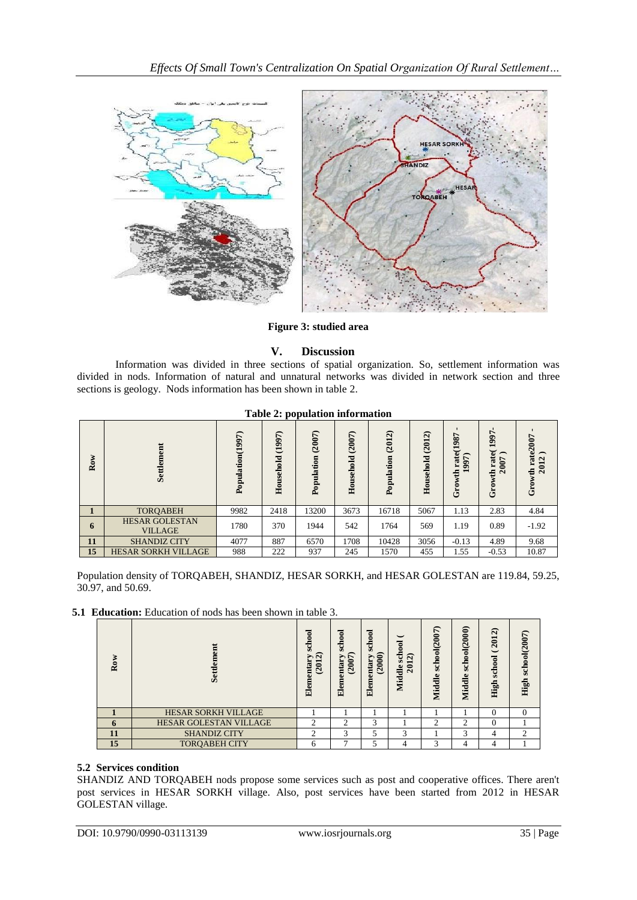

**Figure 3: studied area**

# **V. Discussion**

Information was divided in three sections of spatial organization. So, settlement information was divided in nods. Information of natural and unnatural networks was divided in network section and three sections is geology. Nods information has been shown in table 2.

|     | Table 2: population information         |                  |                     |                      |                     |                      |                       |                             |                                                            |                                |
|-----|-----------------------------------------|------------------|---------------------|----------------------|---------------------|----------------------|-----------------------|-----------------------------|------------------------------------------------------------|--------------------------------|
| Row | Settlement                              | Population(1997) | (1997)<br>Household | (2007)<br>Population | (2007)<br>Household | (2012)<br>Population | (2012)<br>sehold<br>뎔 | rate(1987<br>997)<br>Growth | 1997<br>rate<br>$\overline{\phantom{0}}$<br>2007<br>Growth | rate2007<br>2012<br>゠<br>Growt |
|     | <b>TORQABEH</b>                         | 9982             | 2418                | 13200                | 3673                | 16718                | 5067                  | 1.13                        | 2.83                                                       | 4.84                           |
| -6  | <b>HESAR GOLESTAN</b><br><b>VILLAGE</b> | 1780             | 370                 | 1944                 | 542                 | 1764                 | 569                   | 1.19                        | 0.89                                                       | $-1.92$                        |
| 11  | <b>SHANDIZ CITY</b>                     | 4077             | 887                 | 6570                 | 1708                | 10428                | 3056                  | $-0.13$                     | 4.89                                                       | 9.68                           |
| 15  | <b>HESAR SORKH VILLAGE</b>              | 988              | 222                 | 937                  | 245                 | 1570                 | 455                   | 1.55                        | $-0.53$                                                    | 10.87                          |

**Table 2: population information**

Population density of TORQABEH, SHANDIZ, HESAR SORKH, and HESAR GOLESTAN are 119.84, 59.25, 30.97, and 50.69.

**5.1 Education:** Education of nods has been shown in table 3.

| Row | Ë<br>Settlem               | school<br>$\mathbf{\hat{c}}$<br>entar<br>(201)<br>Eleme | ड<br>sch<br>⋗<br>(200)<br>entar<br>Elem | school<br>⊖<br>entar<br>◓<br>$\tilde{z}$<br>Elem | 3<br>≏<br>뒴<br>$\mathbf{N}$<br>≏<br>$\bar{N}$<br>₹<br>Mid | $\overline{\phantom{0}}$<br>2007<br>$\bar{\mathsf{s}}$<br>sch<br>$\bullet$<br>₹<br>Mid | school(2000)<br>Middle | $\overline{\phantom{0}}$<br>2012)<br>$\overline{\phantom{0}}$<br>school<br>High | school(2007)<br>High |
|-----|----------------------------|---------------------------------------------------------|-----------------------------------------|--------------------------------------------------|-----------------------------------------------------------|----------------------------------------------------------------------------------------|------------------------|---------------------------------------------------------------------------------|----------------------|
|     | <b>HESAR SORKH VILLAGE</b> |                                                         |                                         |                                                  |                                                           |                                                                                        |                        |                                                                                 |                      |
| o   | HESAR GOLESTAN VILLAGE     | ◠                                                       | ◠                                       | 3                                                |                                                           | ◠                                                                                      | ◠                      |                                                                                 |                      |
| 11  | <b>SHANDIZ CITY</b>        | ◠                                                       | 3                                       |                                                  | 3                                                         |                                                                                        | 3                      | 4                                                                               | ◠                    |
| 15  | <b>TORQABEH CITY</b>       | 6                                                       |                                         |                                                  | 4                                                         | 3                                                                                      | 4                      | 4                                                                               |                      |

# **5.2 Services condition**

SHANDIZ AND TORQABEH nods propose some services such as post and cooperative offices. There aren't post services in HESAR SORKH village. Also, post services have been started from 2012 in HESAR GOLESTAN village.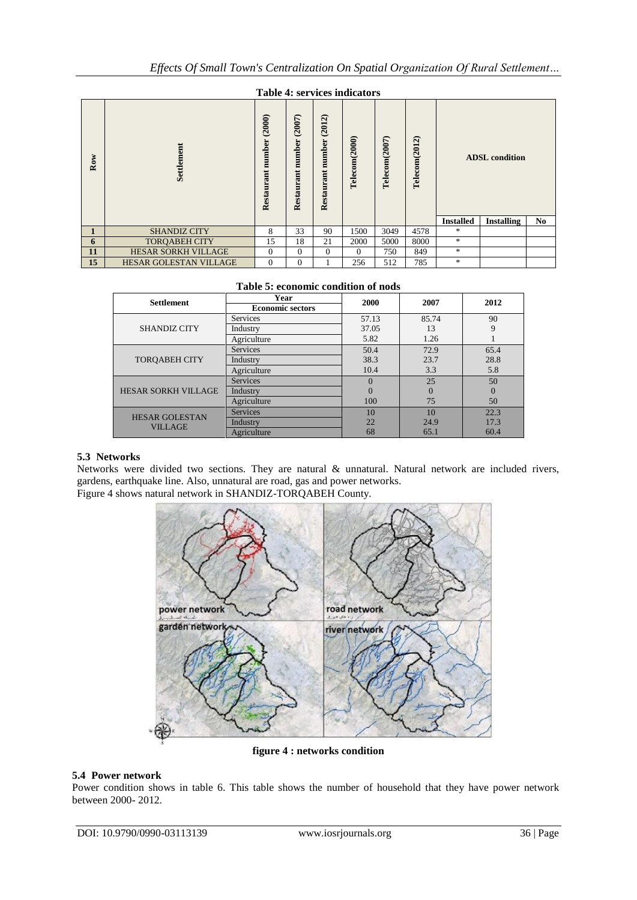| <b>Table 4: services indicators</b> |                               |                                |                             |                             |               |               |               |                  |                       |     |
|-------------------------------------|-------------------------------|--------------------------------|-----------------------------|-----------------------------|---------------|---------------|---------------|------------------|-----------------------|-----|
| Row                                 | Settlement                    | (2000)<br>number<br>Restaurant | (2007)<br>Restaurant number | (2012)<br>Restaurant number | Telecom(2000) | Telecom(2007) | Telecom(2012) |                  | <b>ADSL</b> condition |     |
|                                     |                               |                                |                             |                             |               |               |               | <b>Installed</b> | <b>Installing</b>     | No. |
| $\mathbf{1}$                        | <b>SHANDIZ CITY</b>           | 8                              | 33                          | 90                          | 1500          | 3049          | 4578          | *                |                       |     |
| 6                                   | <b>TORQABEH CITY</b>          | 15                             | 18                          | 21                          | 2000          | 5000          | 8000          | *.               |                       |     |
| 11                                  | HESAR SORKH VILLAGE           | $\Omega$                       | $\overline{0}$              | $\Omega$                    | $\Omega$      | 750           | 849           | *.               |                       |     |
| 15                                  | <b>HESAR GOLESTAN VILLAGE</b> | $\Omega$                       | $\overline{0}$              |                             | 256           | 512           | 785           | *.               |                       |     |

#### **Table 5: economic condition of nods**

| <b>Settlement</b>          | Year                    |       | 2007     | 2012     |
|----------------------------|-------------------------|-------|----------|----------|
|                            | <b>Economic sectors</b> | 2000  |          |          |
|                            | <b>Services</b>         | 57.13 | 85.74    | 90       |
| <b>SHANDIZ CITY</b>        | Industry                | 37.05 | 13       | Q        |
|                            | Agriculture             | 5.82  | 1.26     |          |
|                            | <b>Services</b>         | 50.4  | 72.9     | 65.4     |
| <b>TOROABEH CITY</b>       | Industry                | 38.3  | 23.7     | 28.8     |
|                            | Agriculture             | 10.4  | 3.3      | 5.8      |
|                            | <b>Services</b>         |       | 25       | 50       |
| <b>HESAR SORKH VILLAGE</b> | Industry                |       | $\Omega$ | $\Omega$ |
|                            | Agriculture             | 100   | 75       | 50       |
| <b>HESAR GOLESTAN</b>      | <b>Services</b>         | 10    | 10       | 22.3     |
| <b>VILLAGE</b>             | Industry                | 22    | 24.9     | 17.3     |
|                            | Agriculture             | 68    | 65.1     | 60.4     |

# **5.3 Networks**

Networks were divided two sections. They are natural & unnatural. Natural network are included rivers, gardens, earthquake line. Also, unnatural are road, gas and power networks. Figure 4 shows natural network in SHANDIZ-TORQABEH County.



**figure 4 : networks condition**

# **5.4 Power network**

Power condition shows in table 6. This table shows the number of household that they have power network between 2000- 2012.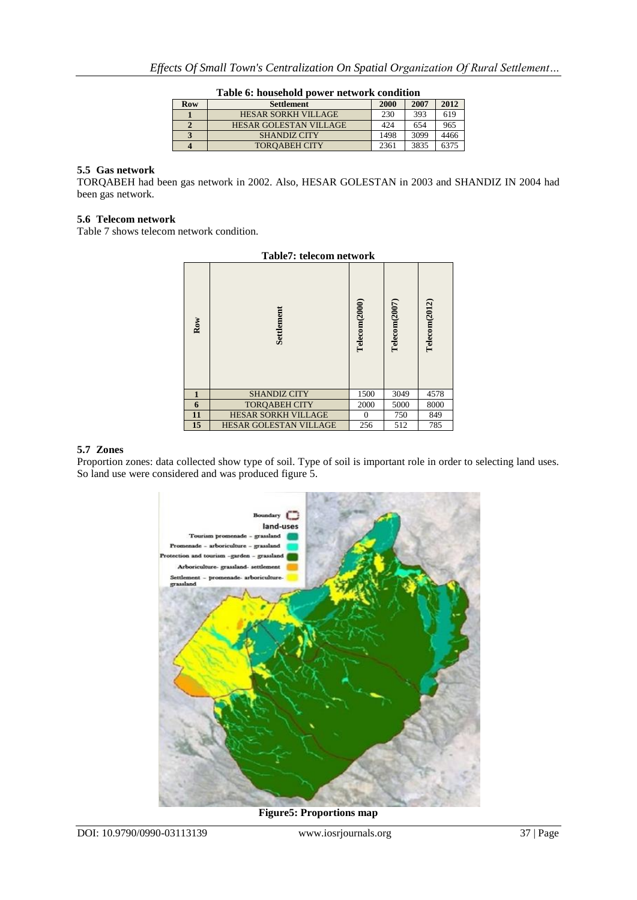|            | Table v, household power herwork condition |      |      |      |
|------------|--------------------------------------------|------|------|------|
| <b>Row</b> | <b>Settlement</b>                          | 2000 | 2007 | 2012 |
|            | <b>HESAR SORKH VILLAGE</b>                 | 230  | 393  | 619  |
|            | <b>HESAR GOLESTAN VILLAGE</b>              | 424  | 654  | 965  |
|            | <b>SHANDIZ CITY</b>                        | 1498 | 3099 | 4466 |
|            | <b>TOROABEH CITY</b>                       | 2361 | 3835 | 6375 |
|            |                                            |      |      |      |

**Table 6: household power network condition**

# **5.5 Gas network**

TORQABEH had been gas network in 2002. Also, HESAR GOLESTAN in 2003 and SHANDIZ IN 2004 had been gas network.

#### **5.6 Telecom network**

Table 7 shows telecom network condition.

|     | Table7: telecom network       |               |               |               |
|-----|-------------------------------|---------------|---------------|---------------|
| Row | Settlemen                     | Telecom(2000) | Telecom(2007) | Telecom(2012) |
| 1   | <b>SHANDIZ CITY</b>           | 1500          | 3049          | 4578          |
| 6   | <b>TOROABEH CITY</b>          | 2000          | 5000          | 8000          |
| 11  | <b>HESAR SORKH VILLAGE</b>    | $\Omega$      | 750           | 849           |
| 15  | <b>HESAR GOLESTAN VILLAGE</b> | 256           | 512           | 785           |

#### **5.7 Zones**

Proportion zones: data collected show type of soil. Type of soil is important role in order to selecting land uses. So land use were considered and was produced figure 5.



**Figure5: Proportions map**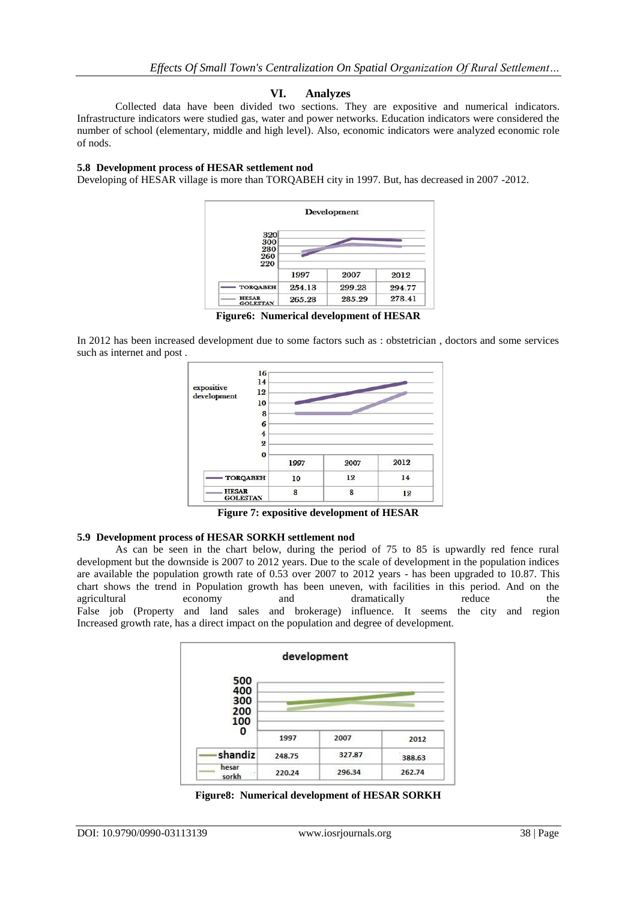# **VI. Analyzes**

Collected data have been divided two sections. They are expositive and numerical indicators. Infrastructure indicators were studied gas, water and power networks. Education indicators were considered the number of school (elementary, middle and high level). Also, economic indicators were analyzed economic role of nods.

#### **5.8 Development process of HESAR settlement nod**

Developing of HESAR village is more than TORQABEH city in 1997. But, has decreased in 2007 -2012.



**Figure6: Numerical development of HESAR**

In 2012 has been increased development due to some factors such as : obstetrician , doctors and some services such as internet and post .



**Figure 7: expositive development of HESAR**

#### **5.9 Development process of HESAR SORKH settlement nod**

As can be seen in the chart below, during the period of 75 to 85 is upwardly red fence rural development but the downside is 2007 to 2012 years. Due to the scale of development in the population indices are available the population growth rate of 0.53 over 2007 to 2012 years - has been upgraded to 10.87. This chart shows the trend in Population growth has been uneven, with facilities in this period. And on the agricultural economy and dramatically reduce the False job (Property and land sales and brokerage) influence. It seems the city and region Increased growth rate, has a direct impact on the population and degree of development.

|                                      | development |        |        |
|--------------------------------------|-------------|--------|--------|
| 500<br>400<br>300<br>200<br>100<br>0 | 1997        | 2007   | 2012   |
| shandiz                              | 248.75      | 327.87 | 388.63 |
| hesar<br>sorkh                       | 220.24      | 296.34 | 262.74 |

**Figure8: Numerical development of HESAR SORKH**